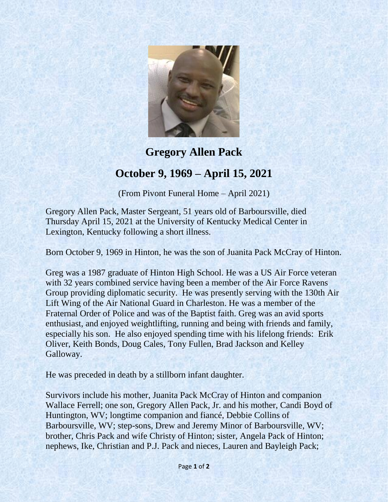

## **Gregory Allen Pack October 9, 1969 – April 15, 2021**

(From Pivont Funeral Home – April 2021)

Gregory Allen Pack, Master Sergeant, 51 years old of Barboursville, died Thursday April 15, 2021 at the University of Kentucky Medical Center in Lexington, Kentucky following a short illness.

Born October 9, 1969 in Hinton, he was the son of Juanita Pack McCray of Hinton.

Greg was a 1987 graduate of Hinton High School. He was a US Air Force veteran with 32 years combined service having been a member of the Air Force Ravens Group providing diplomatic security. He was presently serving with the 130th Air Lift Wing of the Air National Guard in Charleston. He was a member of the Fraternal Order of Police and was of the Baptist faith. Greg was an avid sports enthusiast, and enjoyed weightlifting, running and being with friends and family, especially his son. He also enjoyed spending time with his lifelong friends: Erik Oliver, Keith Bonds, Doug Cales, Tony Fullen, Brad Jackson and Kelley Galloway.

He was preceded in death by a stillborn infant daughter.

Survivors include his mother, Juanita Pack McCray of Hinton and companion Wallace Ferrell; one son, Gregory Allen Pack, Jr. and his mother, Candi Boyd of Huntington, WV; longtime companion and fiancé, Debbie Collins of Barboursville, WV; step-sons, Drew and Jeremy Minor of Barboursville, WV; brother, Chris Pack and wife Christy of Hinton; sister, Angela Pack of Hinton; nephews, Ike, Christian and P.J. Pack and nieces, Lauren and Bayleigh Pack;